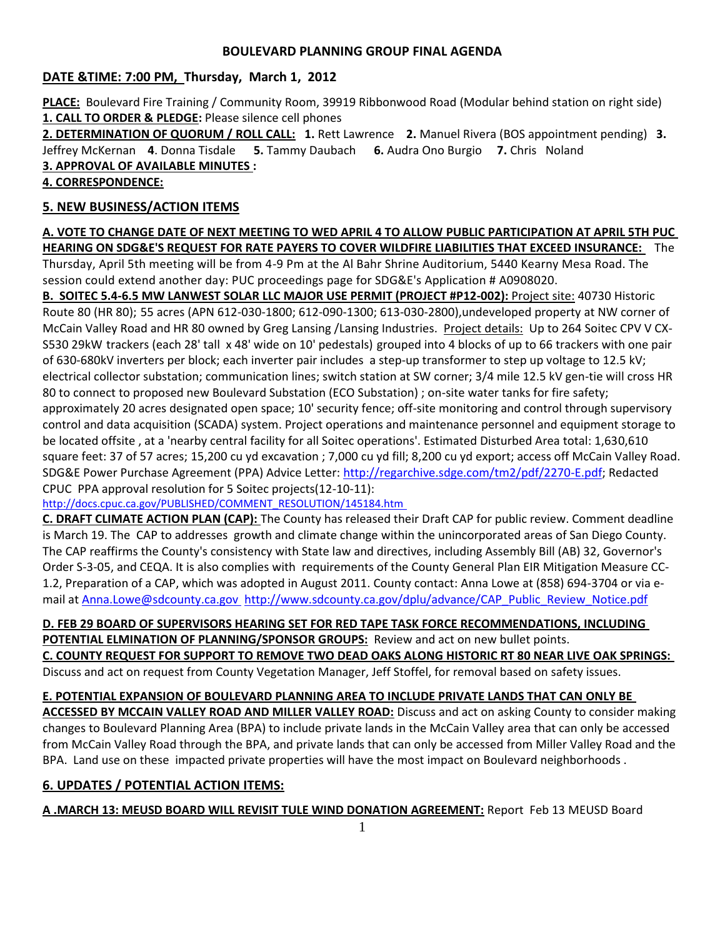## **BOULEVARD PLANNING GROUP FINAL AGENDA**

# **DATE &TIME: 7:00 PM, Thursday, March 1, 2012**

**PLACE:** Boulevard Fire Training / Community Room, 39919 Ribbonwood Road (Modular behind station on right side) **1. CALL TO ORDER & PLEDGE:** Please silence cell phones

**2. DETERMINATION OF QUORUM / ROLL CALL: 1.** Rett Lawrence **2.** Manuel Rivera (BOS appointment pending) **3.** Jeffrey McKernan **4**. Donna Tisdale **5.** Tammy Daubach **6.** Audra Ono Burgio **7.** Chris Noland **3. APPROVAL OF AVAILABLE MINUTES :** 

## **4. CORRESPONDENCE:**

# **5. NEW BUSINESS/ACTION ITEMS**

**A. VOTE TO CHANGE DATE OF NEXT MEETING TO WED APRIL 4 TO ALLOW PUBLIC PARTICIPATION AT APRIL 5TH PUC HEARING ON SDG&E'S REQUEST FOR RATE PAYERS TO COVER WILDFIRE LIABILITIES THAT EXCEED INSURANCE:** The Thursday, April 5th meeting will be from 4-9 Pm at the Al Bahr Shrine Auditorium, 5440 Kearny Mesa Road. The session could extend another day: PUC proceedings page for SDG&E's Application # A0908020.

**B. SOITEC 5.4-6.5 MW LANWEST SOLAR LLC MAJOR USE PERMIT (PROJECT #P12-002):** Project site: 40730 Historic Route 80 (HR 80); 55 acres (APN 612-030-1800; 612-090-1300; 613-030-2800),undeveloped property at NW corner of McCain Valley Road and HR 80 owned by Greg Lansing /Lansing Industries. Project details: Up to 264 Soitec CPV V CX-S530 29kW trackers (each 28' tall x 48' wide on 10' pedestals) grouped into 4 blocks of up to 66 trackers with one pair of 630-680kV inverters per block; each inverter pair includes a step-up transformer to step up voltage to 12.5 kV; electrical collector substation; communication lines; switch station at SW corner; 3/4 mile 12.5 kV gen-tie will cross HR 80 to connect to proposed new Boulevard Substation (ECO Substation) ; on-site water tanks for fire safety; approximately 20 acres designated open space; 10' security fence; off-site monitoring and control through supervisory control and data acquisition (SCADA) system. Project operations and maintenance personnel and equipment storage to be located offsite , at a 'nearby central facility for all Soitec operations'. Estimated Disturbed Area total: 1,630,610 square feet: 37 of 57 acres; 15,200 cu yd excavation ; 7,000 cu yd fill; 8,200 cu yd export; access off McCain Valley Road. SDG&E Power Purchase Agreement (PPA) Advice Letter: [http://regarchive.sdge.com/tm2/pdf/2270-E.pdf;](http://regarchive.sdge.com/tm2/pdf/2270-E.pdf) Redacted CPUC PPA approval resolution for 5 Soitec projects(12-10-11):

[http://docs.cpuc.ca.gov/PUBLISHED/COMMENT\\_RESOLUTION/145184.htm](http://docs.cpuc.ca.gov/PUBLISHED/COMMENT_RESOLUTION/145184.htm)

**C. DRAFT CLIMATE ACTION PLAN (CAP):** The County has released their Draft CAP for public review. Comment deadline is March 19. The CAP to addresses growth and climate change within the unincorporated areas of San Diego County. The CAP reaffirms the County's consistency with State law and directives, including Assembly Bill (AB) 32, Governor's Order S-3-05, and CEQA. It is also complies with requirements of the County General Plan EIR Mitigation Measure CC-1.2, Preparation of a CAP, which was adopted in August 2011. County contact: Anna Lowe at (858) 694-3704 or via e-mail at [Anna.Lowe@sdcounty.ca.gov](Anna.Lowe@sdcounty.ca.gov%20%20) [http://www.sdcounty.ca.gov/dplu/advance/CAP\\_Public\\_Review\\_Notice.pdf](http://www.sdcounty.ca.gov/dplu/advance/CAP_Public_Review_Notice.pdf)

**D. FEB 29 BOARD OF SUPERVISORS HEARING SET FOR RED TAPE TASK FORCE RECOMMENDATIONS, INCLUDING POTENTIAL ELMINATION OF PLANNING/SPONSOR GROUPS:** Review and act on new bullet points. **C. COUNTY REQUEST FOR SUPPORT TO REMOVE TWO DEAD OAKS ALONG HISTORIC RT 80 NEAR LIVE OAK SPRINGS:** 

Discuss and act on request from County Vegetation Manager, Jeff Stoffel, for removal based on safety issues.

# **E. POTENTIAL EXPANSION OF BOULEVARD PLANNING AREA TO INCLUDE PRIVATE LANDS THAT CAN ONLY BE**

**ACCESSED BY MCCAIN VALLEY ROAD AND MILLER VALLEY ROAD:** Discuss and act on asking County to consider making changes to Boulevard Planning Area (BPA) to include private lands in the McCain Valley area that can only be accessed from McCain Valley Road through the BPA, and private lands that can only be accessed from Miller Valley Road and the BPA. Land use on these impacted private properties will have the most impact on Boulevard neighborhoods .

# **6. UPDATES / POTENTIAL ACTION ITEMS:**

**A .MARCH 13: MEUSD BOARD WILL REVISIT TULE WIND DONATION AGREEMENT:** Report Feb 13 MEUSD Board